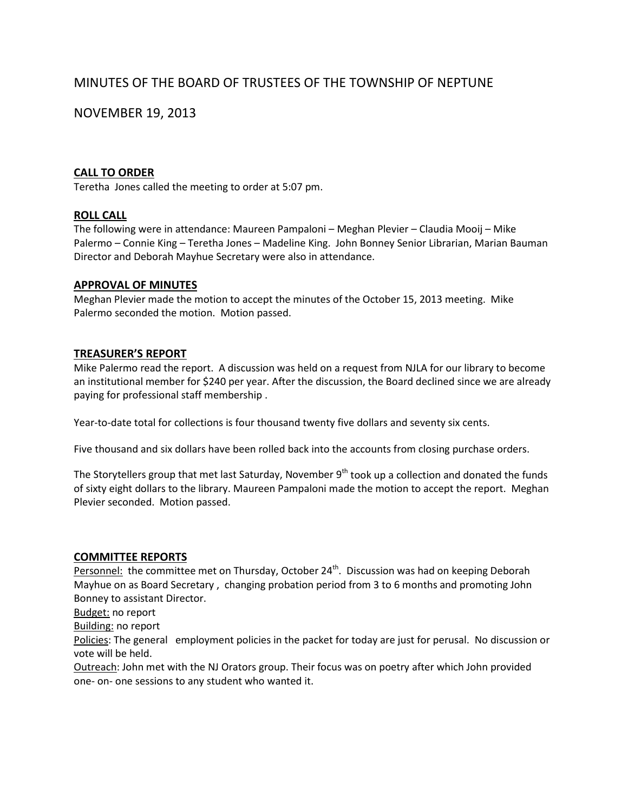# MINUTES OF THE BOARD OF TRUSTEES OF THE TOWNSHIP OF NEPTUNE

## NOVEMBER 19, 2013

## **CALL TO ORDER**

Teretha Jones called the meeting to order at 5:07 pm.

### **ROLL CALL**

The following were in attendance: Maureen Pampaloni – Meghan Plevier – Claudia Mooij – Mike Palermo – Connie King – Teretha Jones – Madeline King. John Bonney Senior Librarian, Marian Bauman Director and Deborah Mayhue Secretary were also in attendance.

#### **APPROVAL OF MINUTES**

Meghan Plevier made the motion to accept the minutes of the October 15, 2013 meeting. Mike Palermo seconded the motion. Motion passed.

#### **TREASURER'S REPORT**

Mike Palermo read the report. A discussion was held on a request from NJLA for our library to become an institutional member for \$240 per year. After the discussion, the Board declined since we are already paying for professional staff membership .

Year-to-date total for collections is four thousand twenty five dollars and seventy six cents.

Five thousand and six dollars have been rolled back into the accounts from closing purchase orders.

The Storytellers group that met last Saturday, November 9<sup>th</sup> took up a collection and donated the funds of sixty eight dollars to the library. Maureen Pampaloni made the motion to accept the report. Meghan Plevier seconded. Motion passed.

#### **COMMITTEE REPORTS**

Personnel: the committee met on Thursday, October 24<sup>th</sup>. Discussion was had on keeping Deborah Mayhue on as Board Secretary , changing probation period from 3 to 6 months and promoting John Bonney to assistant Director.

Budget: no report

Building: no report

Policies: The general employment policies in the packet for today are just for perusal. No discussion or vote will be held.

Outreach: John met with the NJ Orators group. Their focus was on poetry after which John provided one- on- one sessions to any student who wanted it.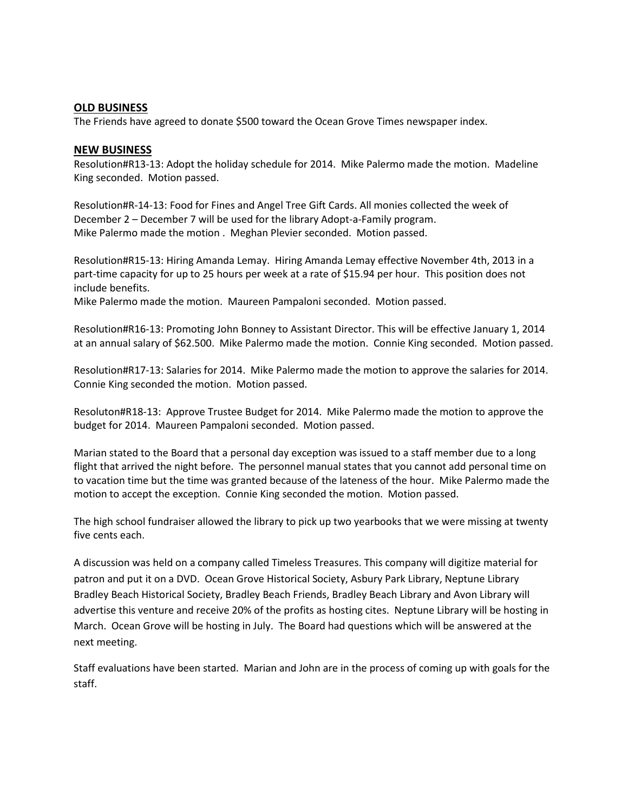#### **OLD BUSINESS**

The Friends have agreed to donate \$500 toward the Ocean Grove Times newspaper index.

#### **NEW BUSINESS**

Resolution#R13-13: Adopt the holiday schedule for 2014. Mike Palermo made the motion. Madeline King seconded. Motion passed.

Resolution#R-14-13: Food for Fines and Angel Tree Gift Cards. All monies collected the week of December 2 – December 7 will be used for the library Adopt-a-Family program. Mike Palermo made the motion . Meghan Plevier seconded. Motion passed.

Resolution#R15-13: Hiring Amanda Lemay. Hiring Amanda Lemay effective November 4th, 2013 in a part-time capacity for up to 25 hours per week at a rate of \$15.94 per hour. This position does not include benefits.

Mike Palermo made the motion. Maureen Pampaloni seconded. Motion passed.

Resolution#R16-13: Promoting John Bonney to Assistant Director. This will be effective January 1, 2014 at an annual salary of \$62.500. Mike Palermo made the motion. Connie King seconded. Motion passed.

Resolution#R17-13: Salaries for 2014. Mike Palermo made the motion to approve the salaries for 2014. Connie King seconded the motion. Motion passed.

Resoluton#R18-13: Approve Trustee Budget for 2014. Mike Palermo made the motion to approve the budget for 2014. Maureen Pampaloni seconded. Motion passed.

Marian stated to the Board that a personal day exception was issued to a staff member due to a long flight that arrived the night before. The personnel manual states that you cannot add personal time on to vacation time but the time was granted because of the lateness of the hour. Mike Palermo made the motion to accept the exception. Connie King seconded the motion. Motion passed.

The high school fundraiser allowed the library to pick up two yearbooks that we were missing at twenty five cents each.

A discussion was held on a company called Timeless Treasures. This company will digitize material for patron and put it on a DVD. Ocean Grove Historical Society, Asbury Park Library, Neptune Library Bradley Beach Historical Society, Bradley Beach Friends, Bradley Beach Library and Avon Library will advertise this venture and receive 20% of the profits as hosting cites. Neptune Library will be hosting in March. Ocean Grove will be hosting in July. The Board had questions which will be answered at the next meeting.

Staff evaluations have been started. Marian and John are in the process of coming up with goals for the staff.